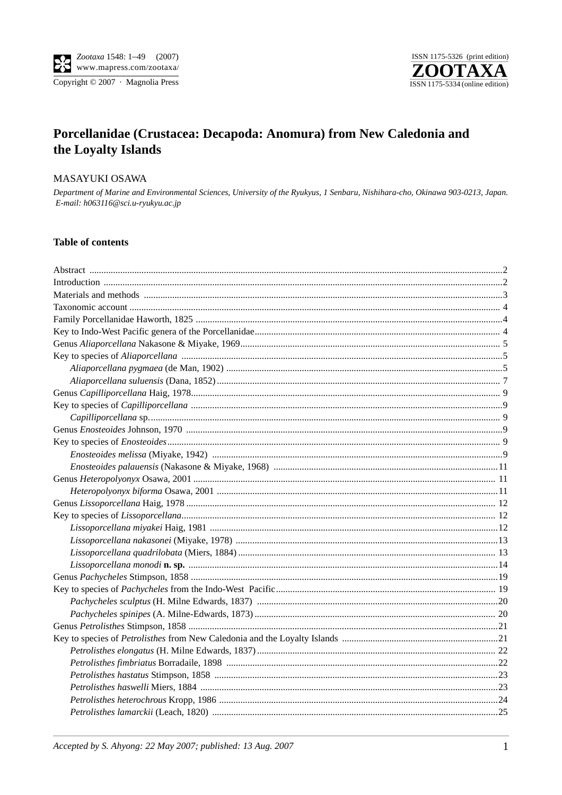



# Porcellanidae (Crustacea: Decapoda: Anomura) from New Caledonia and the Loyalty Islands

#### MASAYUKI OSAWA

Department of Marine and Environmental Sciences, University of the Ryukyus, 1 Senbaru, Nishihara-cho, Okinawa 903-0213, Japan. E-mail: h063116@sci.u-ryukyu.ac.jp

#### **Table of contents**